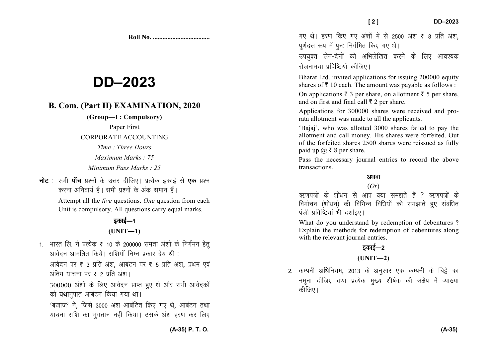**Roll No. ...................................** 

# **DD–2023**

## **B. Com. (Part II) EXAMINATION, 2020**

**(Group—I : Compulsory)** 

Paper First

CORPORATE ACCOUNTING

*Time : Three Hours Maximum Marks : 75* 

*Minimum Pass Marks : 25*

**नोट** : सभी **पॉच** प्रश्नों के उत्तर दीजिए। प्रत्येक इकाई से **एक** प्रश्न *djuk vfuok;Z gSA lHkh iz'uksa d¢ vad leku gSaA*  Attempt all the *five* questions. *One* question from each Unit is compulsory. All questions carry equal marks.

# *bdkbZ*&*<sup>1</sup>***(UNIT—1)**

1. भारत लि. ने प्रत्येक ₹ 10 के 200000 समता अंशों के निर्गमन हेतु आवेदन आमंत्रित किये। राशियाँ निम्न प्रकार देय थीं :

आवेदन पर ₹ 3 प्रति अंश, आबंटन पर ₹ 5 प्रति अंश, प्रथम एवं अंतिम याचना पर **₹ 2** प्रति अंश।

300000 *va'kksa ds fy, vkosnu izkIr gq, Fks vkSj lHkh vkosndksa को य*थानपात आबंटन किया गया था।

^*ctkt*\* *us*] *ftls 3000 va'k vkcafVr fd, x, Fks*] *vkcaVu rFkk ;kpuk jkf'k dk Hkqxrku ugha fd;kA mlds va'k gj.k dj fy,* 

गए थे। हरण किए गए अंशों में से 2500 अंश ₹ 8 प्रति अंश, *पर्णदत्त रूप* में पनः निर्गमित किए गए थे।

*mi;qDr ysu*&*nsuksa dks vfHkysf[kr djus ds fy, vko';d jkstukepk izfof"V;k¡ dhft,A* 

Bharat Ltd. invited applications for issuing 200000 equity shares of  $\bar{z}$  10 each. The amount was payable as follows :

On applications  $\bar{\tau}$  3 per share, on allotment  $\bar{\tau}$  5 per share, and on first and final call  $\bar{\tau}$  2 per share.

Applications for 300000 shares were received and prorata allotment was made to all the applicants.

'Bajaj', who was allotted 3000 shares failed to pay the allotment and call money. His shares were forfeited. Out of the forfeited shares 2500 shares were reissued as fully paid up  $\omega \in \mathcal{S}$  a per share.

Pass the necessary journal entries to record the above transactions.

# अथवा

### (*Or*)

.<br>ऋणपत्रों के शोधन से आप क्या समझते हैं ? ऋणपत्रों के *foekspu ¼'kks/ku½ dh fofHkUu fof/k;ksa dks le>krs gq, lacaf/kr uंजी प्रविष्टियाँ* भी दर्शाइए।

What do you understand by redemption of debentures ? Explain the methods for redemption of debentures along with the relevant journal entries.

## **B**able 5-20

**(UNIT—2)** 

*2- dEiuh vf/kfu;e*] *2013 ds vuqlkj ,d dEiuh ds fpës dk* नमुना दीजिए तथा प्रत्येक मुख्य शीर्षक की संक्षेप में व्याख्या *कीजिए* ।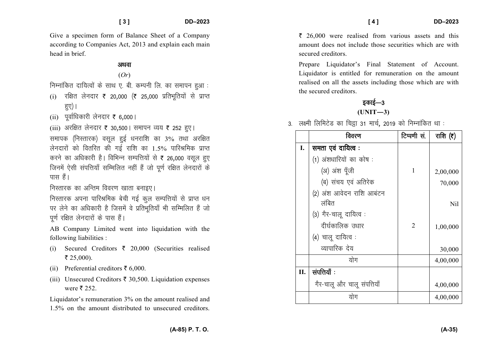Give a specimen form of Balance Sheet of a Company according to Companies Act, 2013 and explain each main head in brief.

#### अथवा

(*Or*)

*fuEukafdr nkf;Roksa ds lkFk ,- ch- dEiuh fy- dk lekiu gqvk %* 

- (i) *jf{kr ysunkj* ` *20*]*000 ¼*` *25*]*000 izfrHkwfr;ksa ls izkIr* हुए) |
- (ii) *iwokZf/kdkjh ysunkj* ` *6*]*000A*

(iii) अरक्षित लेनदार **₹** 30,500 | समापन व्यय ₹ 252 हुए |

*lekid ¼fuLrkjd½ olwy gqbZ /kujkf'k dk* 3% *rFkk vjf{kr ysunkjksa dks forfjr dh xbZ jkf'k dk* 1.5% *ikfjJfed izkIr करने का अधिकारी है*। विभिन्न सम्पत्तियों से ₹ 26,000 वसूल हुए जिनमें ऐसी संपत्तियाँ सम्मिलित नहीं हैं जो पूर्ण रक्षित लेनदारों के पास हैं।

**निस्तारक का अन्तिम विवरण खाता बनाइए**।

निस्तारक अपना पारिश्रमिक बेची गई कुल सम्पत्तियों से प्राप्त धन पर लेने का अधिकारी है जिसमें वे प्रतिभूतियाँ भी सम्मिलित हैं जो *iw.kZ jf{kr ysunkjksa ds ikl gSaA* 

AB Company Limited went into liquidation with the following liabilities :

- (i) Secured Creditors  $\bar{\tau}$  20,000 (Securities realised  $\bar{z}$  25,000).
- (ii) Preferential creditors  $\bar{\tau}$  6,000.
- (iii) Unsecured Creditors  $\bar{\tau}$  30,500. Liquidation expenses were  $\bar{\bar{\mathbf{z}}}$  252.

Liquidator's remuneration 3% on the amount realised and 1.5% on the amount distributed to unsecured creditors.

 $\bar{\xi}$  26,000 were realised from various assets and this amount does not include those securities which are with secured creditors.

Prepare Liquidator's Final Statement of Account. Liquidator is entitled for remuneration on the amount realised on all the assets including those which are with the secured creditors.

## *s*काई—3  $(UNIT-3)$

*3- y{eh fyfeVsM dk fpëk 31 ekpZ*] *2019 dks fuEukafdr Fkk %* 

|     | विवरण                       | टिप्पणी सं. | राशि $(5)$ |
|-----|-----------------------------|-------------|------------|
| I.  | समता एवं दायित्व:           |             |            |
|     | (1) अंशधारियों का कोष:      |             |            |
|     | (अ) अंश पूँजी               | 1           | 2,00,000   |
|     | (ब) संचय एवं अतिरेक         |             | 70,000     |
|     | (2) अंश आवेदन राशि आबंटन    |             |            |
|     | लंबित                       |             | Nil        |
|     | (3) गैर-चालू दायित्व :      |             |            |
|     | दीर्घकालिक उधार             | 2           | 1,00,000   |
|     | (4) चालू दायित्व:           |             |            |
|     | व्यापारिक देय               |             | 30,000     |
|     | योग                         |             | 4,00,000   |
| II. | संपत्तियाँ :                |             |            |
|     | गैर-चालू और चालू संपत्तियाँ |             | 4,00,000   |
|     | योग                         |             | 4,00,000   |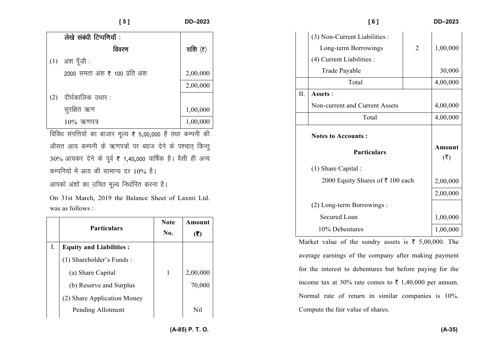| ۱Г | $-202$ |  |
|----|--------|--|

|     | लेखे संबंधी टिप्पणियाँ :      |                  |
|-----|-------------------------------|------------------|
|     | विवरण                         | राशि $(\bar{z})$ |
| (1) | अंश पूँजी :                   |                  |
|     | 2000 समता अंश ₹ 100 प्रति अंश | 2,00,000         |
|     |                               | 2,00,000         |
| (2) | दीर्घकालिक उधार :             |                  |
|     | सुरक्षित ऋण                   | 1,00,000         |
|     | $10\%$ ऋणपत्र                 | 1,00,000         |

*f*adिध संपत्तियों का बाजार मूल्य ₹ 5,00,000 है तथा कम्पनी की औसत आय कम्पनी के ऋणपत्रों पर ब्याज देने के पश्चात् किन्तु 30% आयकर देने के पूर्व ₹ 1,40,000 वार्षिक है। वैसी ही अन्य *dEifu;ksa esa vk; dh lkekU; nj* 10% *gSA vkidks va'kksa dk mfpr ewY; fu/kkZfjr djuk gSA* 

On 31st March, 2019 the Balance Sheet of Laxmi Ltd.was as follows :

|    | <b>Particulars</b>             | <b>Note</b><br>No. | Amount<br>(₹) |
|----|--------------------------------|--------------------|---------------|
| Ι. | <b>Equity and Liabilities:</b> |                    |               |
|    | (1) Shareholder's Funds:       |                    |               |
|    | (a) Share Capital              | 1                  | 2,00,000      |
|    | (b) Reserve and Surplus        |                    | 70,000        |
|    | (2) Share Application Money    |                    |               |
|    | Pending Allotment              |                    | Nil           |

|     | [6]                              |                | <b>DD-2023</b>                      |
|-----|----------------------------------|----------------|-------------------------------------|
|     | (3) Non-Current Liabilities :    |                |                                     |
|     | Long-term Borrowings             | $\overline{2}$ | 1,00,000                            |
|     | (4) Current Liabilities :        |                |                                     |
|     | Trade Payable                    |                | 30,000                              |
|     | Total                            |                | 4,00,000                            |
| II. | Assets:                          |                |                                     |
|     | Non-current and Current Assets   |                | 4,00,000                            |
|     | Total                            |                | 4,00,000                            |
|     | <b>Notes to Accounts:</b>        |                |                                     |
|     | <b>Particulars</b>               |                | Amount<br>$(\overline{\mathbf{z}})$ |
|     |                                  |                |                                     |
|     | $(1)$ Share Capital :            |                |                                     |
|     | 2000 Equity Shares of ₹ 100 each |                | 2,00,000                            |
|     |                                  |                | 2,00,000                            |
|     | (2) Long-term Borrowings :       |                |                                     |
|     | <b>Secured Loan</b>              |                | 1,00,000                            |

Market value of the sundry assets is  $\bar{\tau}$  5,00,000. The average earnings of the company after making payment for the interest to debentures but before paying for the income tax at 30% rate comes to  $\bar{\tau}$  1,40,000 per annum. Normal rate of return in similar companies is 10%. Compute the fair value of shares.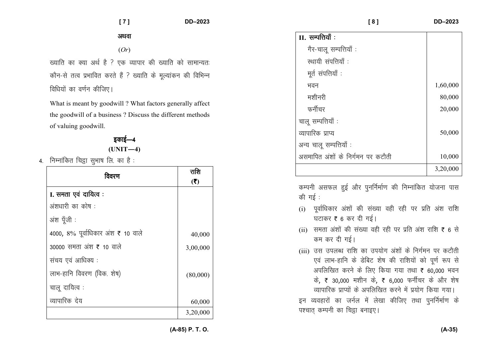अथवा

(*Or*)

*[;kfr dk D;k vFkZ gS \ ,d O;kikj dh [;kfr dks lkekU;r% कौन-से तत्व प्रभावित करते हैं ? ख्याति के मुल्यांकन की विभिन्न f*dधियों का वर्णन कीजिए।

What is meant by goodwill ? What factors generally affect the goodwill of a business ? Discuss the different methods of valuing goodwill.

> *bdkbZ*&*<sup>4</sup>***(UNIT—4)**

*4- fuEukafdr fpëk lqHkk"k fy- dk gS %* 

| विवरण                              | राशि<br>(5) |
|------------------------------------|-------------|
| I. समता एवं दायित्व :              |             |
| अंशधारी का कोष:                    |             |
| अंश पूँजी :                        |             |
| 4000, 8% पूर्वाधिकार अंश ₹ 10 वाले | 40,000      |
| 30000 समता अंश ₹ 10 वाले           | 3,00,000    |
| संचय एवं आधिक्य :                  |             |
| लाभ-हानि विवरण (विक. शेष)          | (80,000)    |
| चालू दायित्व :                     |             |
| व्यापारिक देय                      | 60,000      |
|                                    | 3,20,000    |

| $II.$ सम्पत्तियाँ :               |          |
|-----------------------------------|----------|
|                                   |          |
| गैर-चालू सम्पत्तियाँ :            |          |
| स्थायी संपत्तियाँ :               |          |
| मूर्त संपत्तियाँ :                |          |
| भवन                               | 1,60,000 |
| मशीनरी                            | 80,000   |
| फर्नीचर                           | 20,000   |
| चालू सम्पत्तियाँ :                |          |
| व्यापारिक प्राप्य                 | 50,000   |
| अन्य चालू सम्पत्तियाँ :           |          |
| असमापित अंशों के निर्गमन पर कटौती | 10,000   |
|                                   | 3,20,000 |

 **[ 8 ] DD–2023** 

*कम्पनी असफल हुई और पुनर्निर्माण की निम्नांकित योजना पास की* गई :

- (i) *iwokZf/kdkj va'kksa dh la[;k ogh jgh ij izfr va'k jkf'k* घटाकर **₹** 6 कर दी गई।
- (ii) *lerk va'kksa dh la[;k ogh jgh ij izfr va'k jkf'k* ` *6 ls कम कर दी गई।*
- (iii) *ml miyC/k jkf'k dk mi;ksx va'kksa ds fuxZeu ij dVkSrh* एवं लाभ-हानि के डेबिट शेष की राशियों को पूर्ण रूप से *vifyf[kr djus ds fy, fd;k x;k rFkk* ` *60*]*000 Hkou* के, ₹ 30,000 मशीन के, ₹ 6,000 फर्नीचर के और शेष *O;kikfjd izkI;ksa ds vifyf[kr djus esa iz;ksx fd;k x;kA* इन व्यवहारों का जर्नल में लेखा कीजिए तथा पुनर्निर्माण के *पश्चात कम्पनी का चि*हा बनाइए।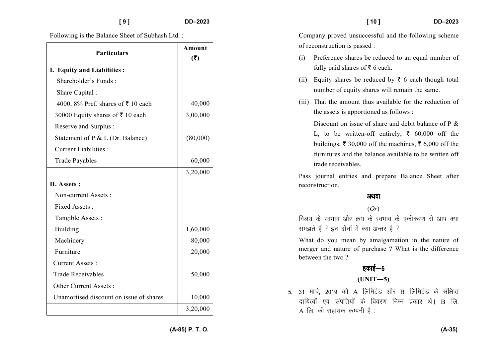Following is the Balance Sheet of Subhash Ltd. :

| <b>Particulars</b>                      | Amount<br>(5) |
|-----------------------------------------|---------------|
| I. Equity and Liabilities:              |               |
| Shareholder's Funds:                    |               |
| Share Capital:                          |               |
| 4000, 8% Pref. shares of ₹10 each       | 40,000        |
| 30000 Equity shares of ₹10 each         | 3,00,000      |
| Reserve and Surplus:                    |               |
| Statement of P & L (Dr. Balance)        | (80,000)      |
| <b>Current Liabilities:</b>             |               |
| <b>Trade Payables</b>                   | 60,000        |
|                                         | 3,20,000      |
| II. Assets:                             |               |
| Non-current Assets:                     |               |
| Fixed Assets:                           |               |
| Tangible Assets:                        |               |
| <b>Building</b>                         | 1,60,000      |
| Machinery                               | 80,000        |
| Furniture                               | 20,000        |
| <b>Current Assets:</b>                  |               |
| <b>Trade Receivables</b>                | 50,000        |
| Other Current Assets:                   |               |
| Unamortised discount on issue of shares | 10,000        |
|                                         | 3,20,000      |

Company proved unsuccessful and the following scheme of reconstruction is passed :

- (i) Preference shares be reduced to an equal number of fully paid shares of  $\bar{z}$  6 each.
- (ii) Equity shares be reduced by  $\bar{\tau}$  6 each though total number of equity shares will remain the same.
- (iii) That the amount thus available for the reduction of the assets is apportioned as follows :

Discount on issue of share and debit balance of P & L, to be written-off entirely,  $\bar{\xi}$  60,000 off the buildings,  $\bar{\xi}$  30,000 off the machines,  $\bar{\xi}$  6,000 off the furnitures and the balance available to be written off trade receivables.

Pass journal entries and prepare Balance Sheet after reconstruction.

#### अथवा

#### (*Or*)

*foy; ds LoHkko vkSj Ø; ds LoHkko ds ,dhdj.k ls vki D;k le>rs gSa \ bu nksuksa esa D;k vUrj gS \* 

What do you mean by amalgamation in the nature of merger and nature of purchase ? What is the difference between the two ?

# *bdkbZ*&*<sup>5</sup>*

#### **(UNIT—5)**

5. 31 मार्च, 2019 को A लिमिटेड और B लिमिटेड के संक्षिप्त दायित्वों एवं संपत्तियों के विवरण निम्न प्रकार थे। B लि. A *fy- dh lgk;d dEiuh gS %*